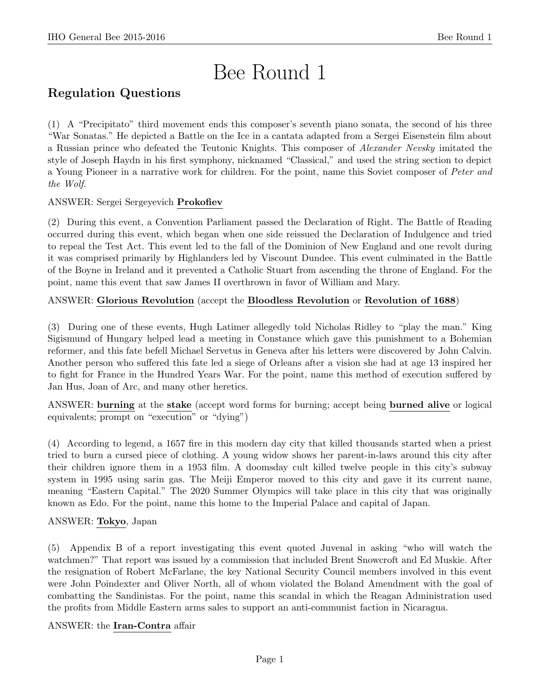# Bee Round 1

# Regulation Questions

(1) A "Precipitato" third movement ends this composer's seventh piano sonata, the second of his three "War Sonatas." He depicted a Battle on the Ice in a cantata adapted from a Sergei Eisenstein film about a Russian prince who defeated the Teutonic Knights. This composer of Alexander Nevsky imitated the style of Joseph Haydn in his first symphony, nicknamed "Classical," and used the string section to depict a Young Pioneer in a narrative work for children. For the point, name this Soviet composer of Peter and the Wolf.

# ANSWER: Sergei Sergeyevich Prokofiev

(2) During this event, a Convention Parliament passed the Declaration of Right. The Battle of Reading occurred during this event, which began when one side reissued the Declaration of Indulgence and tried to repeal the Test Act. This event led to the fall of the Dominion of New England and one revolt during it was comprised primarily by Highlanders led by Viscount Dundee. This event culminated in the Battle of the Boyne in Ireland and it prevented a Catholic Stuart from ascending the throne of England. For the point, name this event that saw James II overthrown in favor of William and Mary.

# ANSWER: Glorious Revolution (accept the Bloodless Revolution or Revolution of 1688)

(3) During one of these events, Hugh Latimer allegedly told Nicholas Ridley to "play the man." King Sigismund of Hungary helped lead a meeting in Constance which gave this punishment to a Bohemian reformer, and this fate befell Michael Servetus in Geneva after his letters were discovered by John Calvin. Another person who suffered this fate led a siege of Orleans after a vision she had at age 13 inspired her to fight for France in the Hundred Years War. For the point, name this method of execution suffered by Jan Hus, Joan of Arc, and many other heretics.

ANSWER: burning at the stake (accept word forms for burning; accept being burned alive or logical equivalents; prompt on "execution" or "dying")

(4) According to legend, a 1657 fire in this modern day city that killed thousands started when a priest tried to burn a cursed piece of clothing. A young widow shows her parent-in-laws around this city after their children ignore them in a 1953 film. A doomsday cult killed twelve people in this city's subway system in 1995 using sarin gas. The Meiji Emperor moved to this city and gave it its current name, meaning "Eastern Capital." The 2020 Summer Olympics will take place in this city that was originally known as Edo. For the point, name this home to the Imperial Palace and capital of Japan.

# ANSWER: Tokyo, Japan

(5) Appendix B of a report investigating this event quoted Juvenal in asking "who will watch the watchmen?" That report was issued by a commission that included Brent Snowcroft and Ed Muskie. After the resignation of Robert McFarlane, the key National Security Council members involved in this event were John Poindexter and Oliver North, all of whom violated the Boland Amendment with the goal of combatting the Sandinistas. For the point, name this scandal in which the Reagan Administration used the profits from Middle Eastern arms sales to support an anti-communist faction in Nicaragua.

# ANSWER: the Iran-Contra affair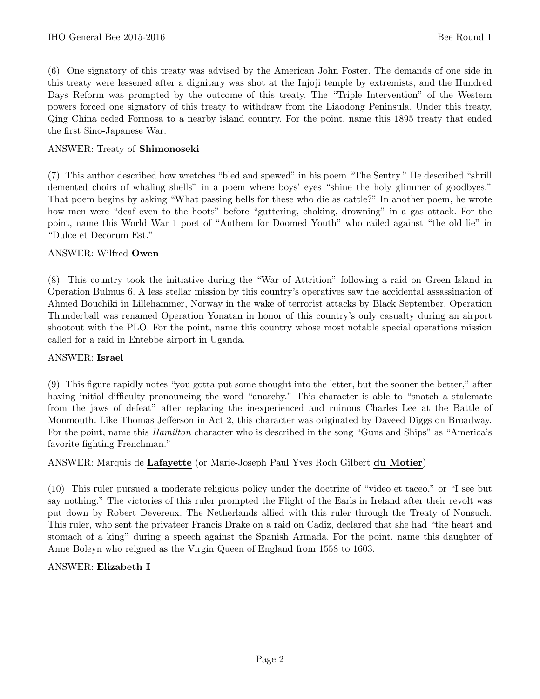(6) One signatory of this treaty was advised by the American John Foster. The demands of one side in this treaty were lessened after a dignitary was shot at the Injoji temple by extremists, and the Hundred Days Reform was prompted by the outcome of this treaty. The "Triple Intervention" of the Western powers forced one signatory of this treaty to withdraw from the Liaodong Peninsula. Under this treaty, Qing China ceded Formosa to a nearby island country. For the point, name this 1895 treaty that ended the first Sino-Japanese War.

# ANSWER: Treaty of Shimonoseki

(7) This author described how wretches "bled and spewed" in his poem "The Sentry." He described "shrill demented choirs of whaling shells" in a poem where boys' eyes "shine the holy glimmer of goodbyes." That poem begins by asking "What passing bells for these who die as cattle?" In another poem, he wrote how men were "deaf even to the hoots" before "guttering, choking, drowning" in a gas attack. For the point, name this World War 1 poet of "Anthem for Doomed Youth" who railed against "the old lie" in "Dulce et Decorum Est."

## ANSWER: Wilfred Owen

(8) This country took the initiative during the "War of Attrition" following a raid on Green Island in Operation Bulmus 6. A less stellar mission by this country's operatives saw the accidental assassination of Ahmed Bouchiki in Lillehammer, Norway in the wake of terrorist attacks by Black September. Operation Thunderball was renamed Operation Yonatan in honor of this country's only casualty during an airport shootout with the PLO. For the point, name this country whose most notable special operations mission called for a raid in Entebbe airport in Uganda.

#### ANSWER: Israel

(9) This figure rapidly notes "you gotta put some thought into the letter, but the sooner the better," after having initial difficulty pronouncing the word "anarchy." This character is able to "snatch a stalemate from the jaws of defeat" after replacing the inexperienced and ruinous Charles Lee at the Battle of Monmouth. Like Thomas Jefferson in Act 2, this character was originated by Daveed Diggs on Broadway. For the point, name this Hamilton character who is described in the song "Guns and Ships" as "America's favorite fighting Frenchman."

# ANSWER: Marquis de Lafayette (or Marie-Joseph Paul Yves Roch Gilbert du Motier)

(10) This ruler pursued a moderate religious policy under the doctrine of "video et taceo," or "I see but say nothing." The victories of this ruler prompted the Flight of the Earls in Ireland after their revolt was put down by Robert Devereux. The Netherlands allied with this ruler through the Treaty of Nonsuch. This ruler, who sent the privateer Francis Drake on a raid on Cadiz, declared that she had "the heart and stomach of a king" during a speech against the Spanish Armada. For the point, name this daughter of Anne Boleyn who reigned as the Virgin Queen of England from 1558 to 1603.

#### ANSWER: Elizabeth I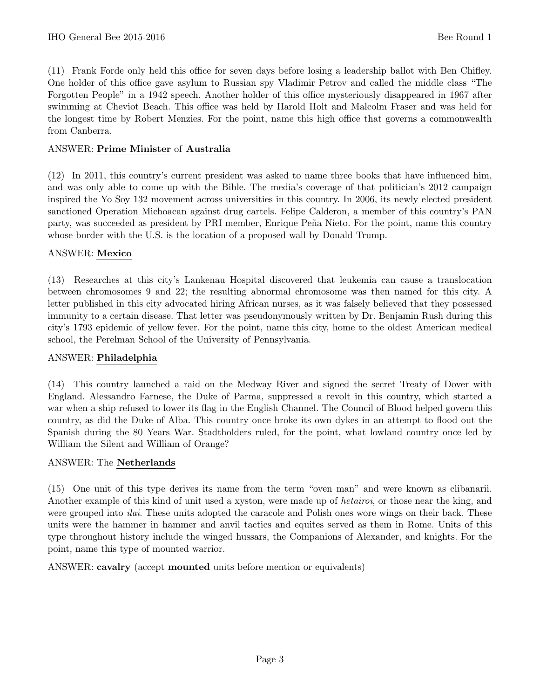(11) Frank Forde only held this office for seven days before losing a leadership ballot with Ben Chifley. One holder of this office gave asylum to Russian spy Vladimir Petrov and called the middle class "The Forgotten People" in a 1942 speech. Another holder of this office mysteriously disappeared in 1967 after swimming at Cheviot Beach. This office was held by Harold Holt and Malcolm Fraser and was held for the longest time by Robert Menzies. For the point, name this high office that governs a commonwealth from Canberra.

## ANSWER: Prime Minister of Australia

(12) In 2011, this country's current president was asked to name three books that have influenced him, and was only able to come up with the Bible. The media's coverage of that politician's 2012 campaign inspired the Yo Soy 132 movement across universities in this country. In 2006, its newly elected president sanctioned Operation Michoacan against drug cartels. Felipe Calderon, a member of this country's PAN party, was succeeded as president by PRI member, Enrique Peña Nieto. For the point, name this country whose border with the U.S. is the location of a proposed wall by Donald Trump.

## ANSWER: Mexico

(13) Researches at this city's Lankenau Hospital discovered that leukemia can cause a translocation between chromosomes 9 and 22; the resulting abnormal chromosome was then named for this city. A letter published in this city advocated hiring African nurses, as it was falsely believed that they possessed immunity to a certain disease. That letter was pseudonymously written by Dr. Benjamin Rush during this city's 1793 epidemic of yellow fever. For the point, name this city, home to the oldest American medical school, the Perelman School of the University of Pennsylvania.

#### ANSWER: Philadelphia

(14) This country launched a raid on the Medway River and signed the secret Treaty of Dover with England. Alessandro Farnese, the Duke of Parma, suppressed a revolt in this country, which started a war when a ship refused to lower its flag in the English Channel. The Council of Blood helped govern this country, as did the Duke of Alba. This country once broke its own dykes in an attempt to flood out the Spanish during the 80 Years War. Stadtholders ruled, for the point, what lowland country once led by William the Silent and William of Orange?

#### ANSWER: The Netherlands

(15) One unit of this type derives its name from the term "oven man" and were known as clibanarii. Another example of this kind of unit used a xyston, were made up of hetairoi, or those near the king, and were grouped into *ilai*. These units adopted the caracole and Polish ones wore wings on their back. These units were the hammer in hammer and anvil tactics and equites served as them in Rome. Units of this type throughout history include the winged hussars, the Companions of Alexander, and knights. For the point, name this type of mounted warrior.

ANSWER: cavalry (accept mounted units before mention or equivalents)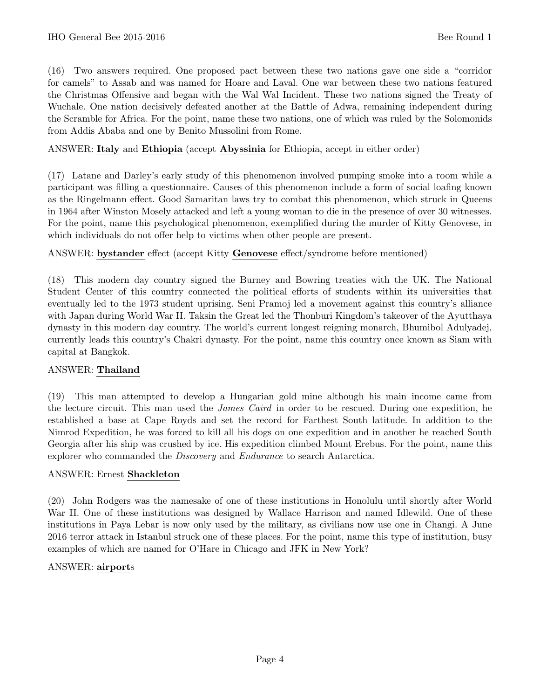(16) Two answers required. One proposed pact between these two nations gave one side a "corridor for camels" to Assab and was named for Hoare and Laval. One war between these two nations featured the Christmas Offensive and began with the Wal Wal Incident. These two nations signed the Treaty of Wuchale. One nation decisively defeated another at the Battle of Adwa, remaining independent during the Scramble for Africa. For the point, name these two nations, one of which was ruled by the Solomonids from Addis Ababa and one by Benito Mussolini from Rome.

# ANSWER: Italy and Ethiopia (accept Abyssinia for Ethiopia, accept in either order)

(17) Latane and Darley's early study of this phenomenon involved pumping smoke into a room while a participant was filling a questionnaire. Causes of this phenomenon include a form of social loafing known as the Ringelmann effect. Good Samaritan laws try to combat this phenomenon, which struck in Queens in 1964 after Winston Mosely attacked and left a young woman to die in the presence of over 30 witnesses. For the point, name this psychological phenomenon, exemplified during the murder of Kitty Genovese, in which individuals do not offer help to victims when other people are present.

ANSWER: bystander effect (accept Kitty Genovese effect/syndrome before mentioned)

(18) This modern day country signed the Burney and Bowring treaties with the UK. The National Student Center of this country connected the political efforts of students within its universities that eventually led to the 1973 student uprising. Seni Pramoj led a movement against this country's alliance with Japan during World War II. Taksin the Great led the Thonburi Kingdom's takeover of the Ayutthaya dynasty in this modern day country. The world's current longest reigning monarch, Bhumibol Adulyadej, currently leads this country's Chakri dynasty. For the point, name this country once known as Siam with capital at Bangkok.

#### ANSWER: Thailand

(19) This man attempted to develop a Hungarian gold mine although his main income came from the lecture circuit. This man used the *James Caird* in order to be rescued. During one expedition, he established a base at Cape Royds and set the record for Farthest South latitude. In addition to the Nimrod Expedition, he was forced to kill all his dogs on one expedition and in another he reached South Georgia after his ship was crushed by ice. His expedition climbed Mount Erebus. For the point, name this explorer who commanded the Discovery and Endurance to search Antarctica.

#### ANSWER: Ernest Shackleton

(20) John Rodgers was the namesake of one of these institutions in Honolulu until shortly after World War II. One of these institutions was designed by Wallace Harrison and named Idlewild. One of these institutions in Paya Lebar is now only used by the military, as civilians now use one in Changi. A June 2016 terror attack in Istanbul struck one of these places. For the point, name this type of institution, busy examples of which are named for O'Hare in Chicago and JFK in New York?

#### ANSWER: airports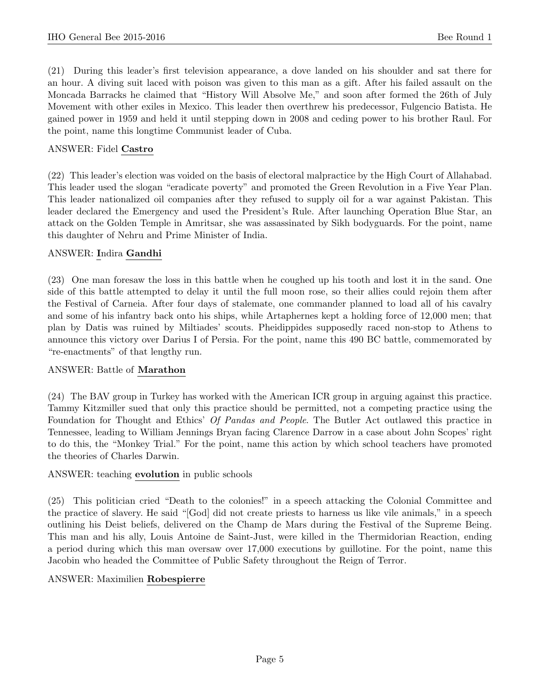(21) During this leader's first television appearance, a dove landed on his shoulder and sat there for an hour. A diving suit laced with poison was given to this man as a gift. After his failed assault on the Moncada Barracks he claimed that "History Will Absolve Me," and soon after formed the 26th of July Movement with other exiles in Mexico. This leader then overthrew his predecessor, Fulgencio Batista. He gained power in 1959 and held it until stepping down in 2008 and ceding power to his brother Raul. For the point, name this longtime Communist leader of Cuba.

# ANSWER: Fidel Castro

(22) This leader's election was voided on the basis of electoral malpractice by the High Court of Allahabad. This leader used the slogan "eradicate poverty" and promoted the Green Revolution in a Five Year Plan. This leader nationalized oil companies after they refused to supply oil for a war against Pakistan. This leader declared the Emergency and used the President's Rule. After launching Operation Blue Star, an attack on the Golden Temple in Amritsar, she was assassinated by Sikh bodyguards. For the point, name this daughter of Nehru and Prime Minister of India.

## ANSWER: Indira Gandhi

(23) One man foresaw the loss in this battle when he coughed up his tooth and lost it in the sand. One side of this battle attempted to delay it until the full moon rose, so their allies could rejoin them after the Festival of Carneia. After four days of stalemate, one commander planned to load all of his cavalry and some of his infantry back onto his ships, while Artaphernes kept a holding force of 12,000 men; that plan by Datis was ruined by Miltiades' scouts. Pheidippides supposedly raced non-stop to Athens to announce this victory over Darius I of Persia. For the point, name this 490 BC battle, commemorated by "re-enactments" of that lengthy run.

#### ANSWER: Battle of Marathon

(24) The BAV group in Turkey has worked with the American ICR group in arguing against this practice. Tammy Kitzmiller sued that only this practice should be permitted, not a competing practice using the Foundation for Thought and Ethics' Of Pandas and People. The Butler Act outlawed this practice in Tennessee, leading to William Jennings Bryan facing Clarence Darrow in a case about John Scopes' right to do this, the "Monkey Trial." For the point, name this action by which school teachers have promoted the theories of Charles Darwin.

#### ANSWER: teaching evolution in public schools

(25) This politician cried "Death to the colonies!" in a speech attacking the Colonial Committee and the practice of slavery. He said "[God] did not create priests to harness us like vile animals," in a speech outlining his Deist beliefs, delivered on the Champ de Mars during the Festival of the Supreme Being. This man and his ally, Louis Antoine de Saint-Just, were killed in the Thermidorian Reaction, ending a period during which this man oversaw over 17,000 executions by guillotine. For the point, name this Jacobin who headed the Committee of Public Safety throughout the Reign of Terror.

#### ANSWER: Maximilien Robespierre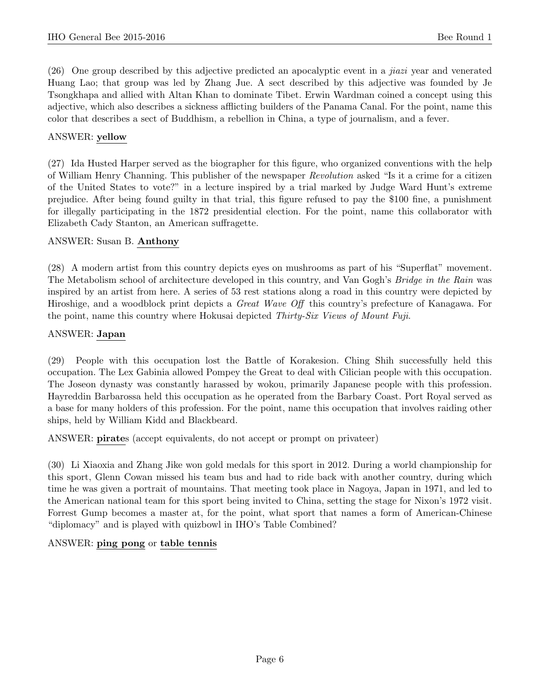(26) One group described by this adjective predicted an apocalyptic event in a jiazi year and venerated Huang Lao; that group was led by Zhang Jue. A sect described by this adjective was founded by Je Tsongkhapa and allied with Altan Khan to dominate Tibet. Erwin Wardman coined a concept using this adjective, which also describes a sickness afflicting builders of the Panama Canal. For the point, name this color that describes a sect of Buddhism, a rebellion in China, a type of journalism, and a fever.

# ANSWER: yellow

(27) Ida Husted Harper served as the biographer for this figure, who organized conventions with the help of William Henry Channing. This publisher of the newspaper Revolution asked "Is it a crime for a citizen of the United States to vote?" in a lecture inspired by a trial marked by Judge Ward Hunt's extreme prejudice. After being found guilty in that trial, this figure refused to pay the \$100 fine, a punishment for illegally participating in the 1872 presidential election. For the point, name this collaborator with Elizabeth Cady Stanton, an American suffragette.

# ANSWER: Susan B. Anthony

(28) A modern artist from this country depicts eyes on mushrooms as part of his "Superflat" movement. The Metabolism school of architecture developed in this country, and Van Gogh's Bridge in the Rain was inspired by an artist from here. A series of 53 rest stations along a road in this country were depicted by Hiroshige, and a woodblock print depicts a Great Wave Off this country's prefecture of Kanagawa. For the point, name this country where Hokusai depicted Thirty-Six Views of Mount Fuji.

# ANSWER: Japan

(29) People with this occupation lost the Battle of Korakesion. Ching Shih successfully held this occupation. The Lex Gabinia allowed Pompey the Great to deal with Cilician people with this occupation. The Joseon dynasty was constantly harassed by wokou, primarily Japanese people with this profession. Hayreddin Barbarossa held this occupation as he operated from the Barbary Coast. Port Royal served as a base for many holders of this profession. For the point, name this occupation that involves raiding other ships, held by William Kidd and Blackbeard.

ANSWER: pirates (accept equivalents, do not accept or prompt on privateer)

(30) Li Xiaoxia and Zhang Jike won gold medals for this sport in 2012. During a world championship for this sport, Glenn Cowan missed his team bus and had to ride back with another country, during which time he was given a portrait of mountains. That meeting took place in Nagoya, Japan in 1971, and led to the American national team for this sport being invited to China, setting the stage for Nixon's 1972 visit. Forrest Gump becomes a master at, for the point, what sport that names a form of American-Chinese "diplomacy" and is played with quizbowl in IHO's Table Combined?

# ANSWER: ping pong or table tennis